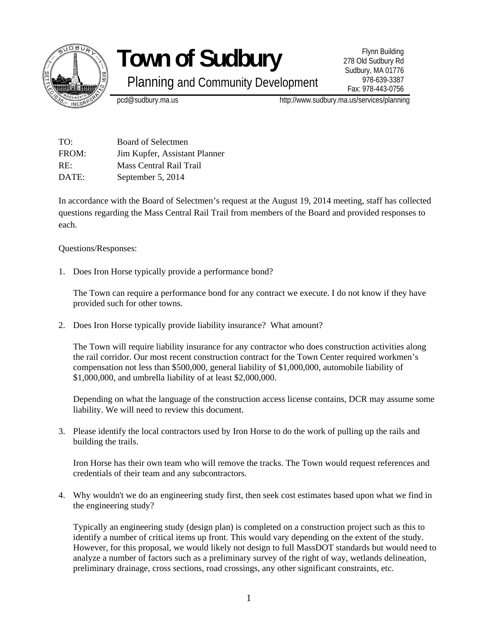

## **Town of Sudbury**

Planning and Community Development

Flynn Building 278 Old Sudbury Rd Sudbury, MA 01776 978-639-3387 Fax: 978-443-0756

pcd@sudbury.ma.us http://www.sudbury.ma.us/services/planning

| TO:   | Board of Selectmen            |
|-------|-------------------------------|
| FROM: | Jim Kupfer, Assistant Planner |
| RE:   | Mass Central Rail Trail       |
| DATE: | September 5, 2014             |

In accordance with the Board of Selectmen's request at the August 19, 2014 meeting, staff has collected questions regarding the Mass Central Rail Trail from members of the Board and provided responses to each.

Questions/Responses:

1. Does Iron Horse typically provide a performance bond?

The Town can require a performance bond for any contract we execute. I do not know if they have provided such for other towns.

2. Does Iron Horse typically provide liability insurance? What amount?

The Town will require liability insurance for any contractor who does construction activities along the rail corridor. Our most recent construction contract for the Town Center required workmen's compensation not less than \$500,000, general liability of \$1,000,000, automobile liability of \$1,000,000, and umbrella liability of at least \$2,000,000.

Depending on what the language of the construction access license contains, DCR may assume some liability. We will need to review this document.

3. Please identify the local contractors used by Iron Horse to do the work of pulling up the rails and building the trails.

Iron Horse has their own team who will remove the tracks. The Town would request references and credentials of their team and any subcontractors.

4. Why wouldn't we do an engineering study first, then seek cost estimates based upon what we find in the engineering study?

Typically an engineering study (design plan) is completed on a construction project such as this to identify a number of critical items up front. This would vary depending on the extent of the study. However, for this proposal, we would likely not design to full MassDOT standards but would need to analyze a number of factors such as a preliminary survey of the right of way, wetlands delineation, preliminary drainage, cross sections, road crossings, any other significant constraints, etc.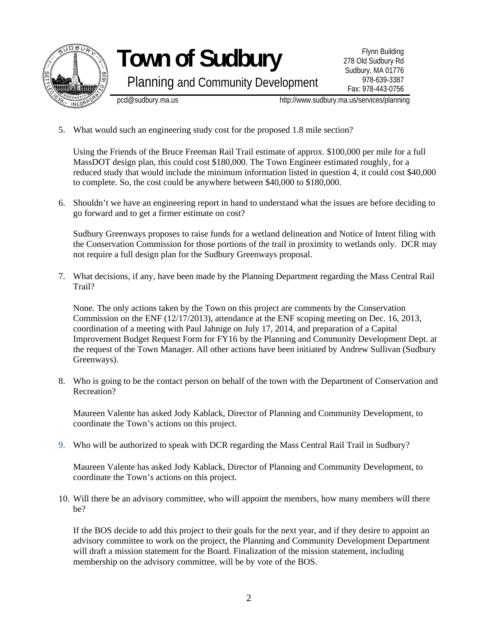

## **Town of Sudbury**

Planning and Community Development

pcd@sudbury.ma.us http://www.sudbury.ma.us/services/planning

5. What would such an engineering study cost for the proposed 1.8 mile section?

Using the Friends of the Bruce Freeman Rail Trail estimate of approx. \$100,000 per mile for a full MassDOT design plan, this could cost \$180,000. The Town Engineer estimated roughly, for a reduced study that would include the minimum information listed in question 4, it could cost \$40,000 to complete. So, the cost could be anywhere between \$40,000 to \$180,000.

6. Shouldn't we have an engineering report in hand to understand what the issues are before deciding to go forward and to get a firmer estimate on cost?

Sudbury Greenways proposes to raise funds for a wetland delineation and Notice of Intent filing with the Conservation Commission for those portions of the trail in proximity to wetlands only. DCR may not require a full design plan for the Sudbury Greenways proposal.

7. What decisions, if any, have been made by the Planning Department regarding the Mass Central Rail Trail?

None. The only actions taken by the Town on this project are comments by the Conservation Commission on the ENF (12/17/2013), attendance at the ENF scoping meeting on Dec. 16, 2013, coordination of a meeting with Paul Jahnige on July 17, 2014, and preparation of a Capital Improvement Budget Request Form for FY16 by the Planning and Community Development Dept. at the request of the Town Manager. All other actions have been initiated by Andrew Sullivan (Sudbury Greenways).

8. Who is going to be the contact person on behalf of the town with the Department of Conservation and Recreation?

Maureen Valente has asked Jody Kablack, Director of Planning and Community Development, to coordinate the Town's actions on this project.

9. Who will be authorized to speak with DCR regarding the Mass Central Rail Trail in Sudbury?

Maureen Valente has asked Jody Kablack, Director of Planning and Community Development, to coordinate the Town's actions on this project.

10. Will there be an advisory committee, who will appoint the members, how many members will there be?

If the BOS decide to add this project to their goals for the next year, and if they desire to appoint an advisory committee to work on the project, the Planning and Community Development Department will draft a mission statement for the Board. Finalization of the mission statement, including membership on the advisory committee, will be by vote of the BOS.